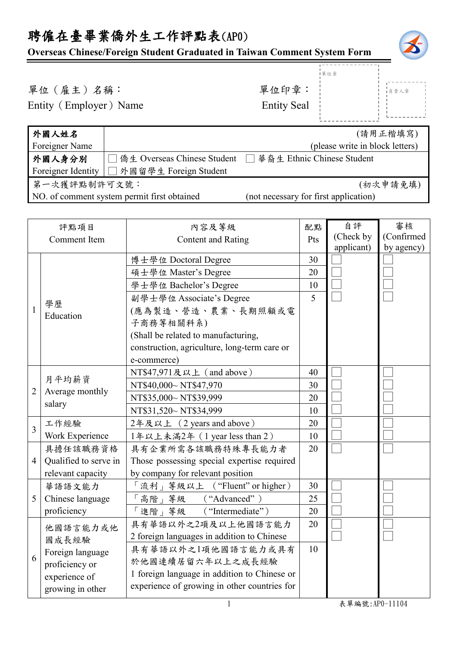## 聘僱在臺畢業僑外生工作評點表(AP0) **Overseas Chinese/Foreign Student Graduated in Taiwan Comment System Form** 單位(雇主)名稱: 第四章: 李位印章: Entity (Employer) Name Entity Seal 外國人姓名 Foreigner Name (請用正楷填寫) (please write in block letters) 外國人身分別 Foreigner Identity | □ 外國留學生 Foreign Student □ 僑生 Overseas Chinese Student □ 華裔生 Ethnic Chinese Student 第一次獲評點制許可文號: NO. of comment system permit first obtained (not necessary for first application) 評點項目 Comment Item 內容及等級 Content and Rating 配點 Pts 自評 (Check by applicant) 審核 (Confirmed by agency) 1 學歷 Education 博士學位 Doctoral Degree  $\vert$  30 □ □ □ □ □ □ □ 碩士學位 Master's Degree 20 學士學位 Bachelor's Degree 10 副學士學位 Associate's Degree (應為製造、營造、農業、長期照顧或電 子商務等相關科系) (Shall be related to manufacturing, construction, agriculture, long-term care or e-commerce) 5 2 月平均薪資 Average monthly salary NT\$47,971及以上 (and above)  $|40$ □ □ □ □ □ □ □ NT\$40,000~ NT\$47,970 30 NT\$35,000~ NT\$39,999 20 NT\$31,520~ NT\$34,999 10 3 工作經驗 Work Experience  $24.24 \times 20$  (2 years and above) 20 □ □ 1年以上未滿2年 (1 year less than 2) | 10 4 Qualified to serve in 具擔任該職務資格 relevant capacity 具有企業所需各該職務特殊專長能力者 Those possessing special expertise required by company for relevant position  $20$   $\Box$ 5 Chinese language 華語語文能力 proficiency 「流利」等級以上 ("Fluent" or higher) | 30 □ □ □ □ □  $\lceil$ 高階」等級 ("Advanced") | 25 「進階」等級 ("Intermediate") 20 6 他國語言能力或他 國成長經驗 Foreign language proficiency or experience of growing in other 具有華語以外之2項及以上他國語言能力 2 foreign languages in addition to Chinese  $20$ □ □ □ 具有華語以外之1項他國語言能力或具有 於他國連續居留六年以上之成長經驗 1 foreign language in addition to Chinese or experience of growing in other countries for 10 單位章 負責人章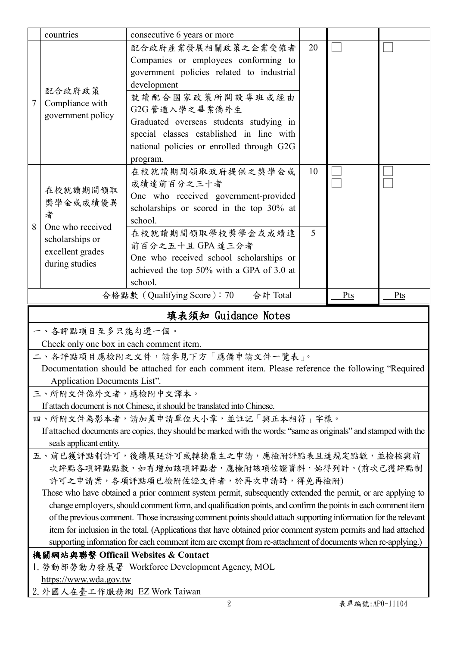|                                                                                                  | countries                                                        | consecutive 6 years or more                                                                                      |    |  |  |  |
|--------------------------------------------------------------------------------------------------|------------------------------------------------------------------|------------------------------------------------------------------------------------------------------------------|----|--|--|--|
|                                                                                                  |                                                                  | 配合政府產業發展相關政策之企業受僱者                                                                                               | 20 |  |  |  |
|                                                                                                  | 配合政府政策<br>Compliance with<br>government policy                   | Companies or employees conforming to                                                                             |    |  |  |  |
|                                                                                                  |                                                                  | government policies related to industrial                                                                        |    |  |  |  |
|                                                                                                  |                                                                  | development                                                                                                      |    |  |  |  |
|                                                                                                  |                                                                  | 就讀配合國家政策所開設專班或經由                                                                                                 |    |  |  |  |
| 7                                                                                                |                                                                  | G2G 管道入學之畢業僑外生                                                                                                   |    |  |  |  |
|                                                                                                  |                                                                  | Graduated overseas students studying in                                                                          |    |  |  |  |
|                                                                                                  |                                                                  | special classes established in line with                                                                         |    |  |  |  |
|                                                                                                  |                                                                  | national policies or enrolled through G2G                                                                        |    |  |  |  |
|                                                                                                  |                                                                  | program.                                                                                                         |    |  |  |  |
| 8                                                                                                | 在校就讀期間領取<br>獎學金或成績優異<br>者<br>One who received<br>scholarships or | 在校就讀期間領取政府提供之獎學金或                                                                                                | 10 |  |  |  |
|                                                                                                  |                                                                  | 成績達前百分之三十者                                                                                                       |    |  |  |  |
|                                                                                                  |                                                                  | One who received government-provided                                                                             |    |  |  |  |
|                                                                                                  |                                                                  | scholarships or scored in the top 30% at                                                                         |    |  |  |  |
|                                                                                                  |                                                                  | school.                                                                                                          |    |  |  |  |
|                                                                                                  |                                                                  | 在校就讀期間領取學校獎學金或成績達                                                                                                | 5  |  |  |  |
|                                                                                                  | excellent grades                                                 | 前百分之五十且 GPA 達三分者                                                                                                 |    |  |  |  |
|                                                                                                  | during studies                                                   | One who received school scholarships or                                                                          |    |  |  |  |
|                                                                                                  |                                                                  | achieved the top 50% with a GPA of 3.0 at                                                                        |    |  |  |  |
|                                                                                                  |                                                                  | school.                                                                                                          |    |  |  |  |
|                                                                                                  | 合格點數 (Qualifying Score): 70<br>合計 Total<br>Pts<br>Pts            |                                                                                                                  |    |  |  |  |
| 填表須知 Guidance Notes                                                                              |                                                                  |                                                                                                                  |    |  |  |  |
| 一、各評點項目至多只能勾選一個。                                                                                 |                                                                  |                                                                                                                  |    |  |  |  |
| Check only one box in each comment item.                                                         |                                                                  |                                                                                                                  |    |  |  |  |
| 二、各評點項目應檢附之文件,請參見下方「應備申請文件一覽表」。                                                                  |                                                                  |                                                                                                                  |    |  |  |  |
| Documentation should be attached for each comment item. Please reference the following "Required |                                                                  |                                                                                                                  |    |  |  |  |
|                                                                                                  |                                                                  |                                                                                                                  |    |  |  |  |
|                                                                                                  | Application Documents List".                                     |                                                                                                                  |    |  |  |  |
|                                                                                                  | 三、所附文件係外文者,應檢附中文譯本。                                              |                                                                                                                  |    |  |  |  |
|                                                                                                  |                                                                  | If attach document is not Chinese, it should be translated into Chinese.                                         |    |  |  |  |
|                                                                                                  |                                                                  | 四、所附文件為影本者,請加蓋申請單位大小章,並註記「與正本相符」字樣。                                                                              |    |  |  |  |
|                                                                                                  |                                                                  | If attached documents are copies, they should be marked with the words: "same as originals" and stamped with the |    |  |  |  |
|                                                                                                  | seals applicant entity.                                          |                                                                                                                  |    |  |  |  |
|                                                                                                  |                                                                  | 五、前已獲評點制許可,後續展延許可或轉換雇主之申請,應檢附評點表且達規定點數,並檢核與前                                                                     |    |  |  |  |
|                                                                                                  |                                                                  | 次評點各項評點點數,如有增加該項評點者,應檢附該項佐證資料,始得列計。(前次已獲評點制                                                                      |    |  |  |  |
|                                                                                                  |                                                                  | 許可之申請案,各項評點項已檢附佐證文件者,於再次申請時,得免再檢附)                                                                               |    |  |  |  |
|                                                                                                  |                                                                  | Those who have obtained a prior comment system permit, subsequently extended the permit, or are applying to      |    |  |  |  |
|                                                                                                  |                                                                  | change employers, should comment form, and qualification points, and confirm the points in each comment item     |    |  |  |  |
|                                                                                                  |                                                                  | of the previous comment. Those increasing comment points should attach supporting information for the relevant   |    |  |  |  |
|                                                                                                  |                                                                  | item for inclusion in the total. (Applications that have obtained prior comment system permits and had attached  |    |  |  |  |
|                                                                                                  |                                                                  | supporting information for each comment item are exempt from re-attachment of documents when re-applying.)       |    |  |  |  |
|                                                                                                  | 機關網站與聯繫 Officail Websites & Contact                              |                                                                                                                  |    |  |  |  |
|                                                                                                  |                                                                  | 1. 勞動部勞動力發展署 Workforce Development Agency, MOL                                                                   |    |  |  |  |
|                                                                                                  | https://www.wda.gov.tw<br>2. 外國人在臺工作服務網 EZ Work Taiwan           |                                                                                                                  |    |  |  |  |